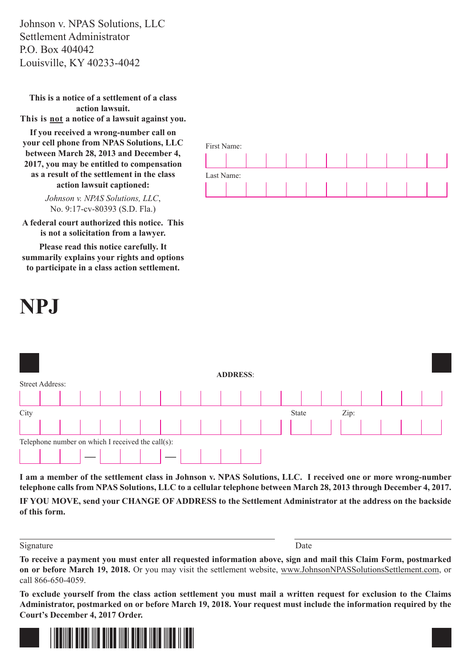Johnson v. NPAS Solutions, LLC Settlement Administrator P.O. Box 404042 Louisville, KY 40233-4042

**This is a notice of a settlement of a class action lawsuit. This is not a notice of a lawsuit against you.** 

**If you received a wrong-number call on your cell phone from NPAS Solutions, LLC between March 28, 2013 and December 4, 2017, you may be entitled to compensation as a result of the settlement in the class action lawsuit captioned:**

> *Johnson v. NPAS Solutions, LLC*, No. 9:17-cv-80393 (S.D. Fla.)

**A federal court authorized this notice. This is not a solicitation from a lawyer.**

**Please read this notice carefully. It summarily explains your rights and options to participate in a class action settlement.**







**I am a member of the settlement class in Johnson v. NPAS Solutions, LLC. I received one or more wrong-number telephone calls from NPAS Solutions, LLC to a cellular telephone between March 28, 2013 through December 4, 2017.**

**IF YOU MOVE, send your CHANGE OF ADDRESS to the Settlement Administrator at the address on the backside of this form.**

Signature Date

**To receive a payment you must enter all requested information above, sign and mail this Claim Form, postmarked on or before March 19, 2018.** Or you may visit the settlement website, www.JohnsonNPASSolutionsSettlement.com, or call 866-650-4059.

**To exclude yourself from the class action settlement you must mail a written request for exclusion to the Claims Administrator, postmarked on or before March 19, 2018. Your request must include the information required by the Court's December 4, 2017 Order.**